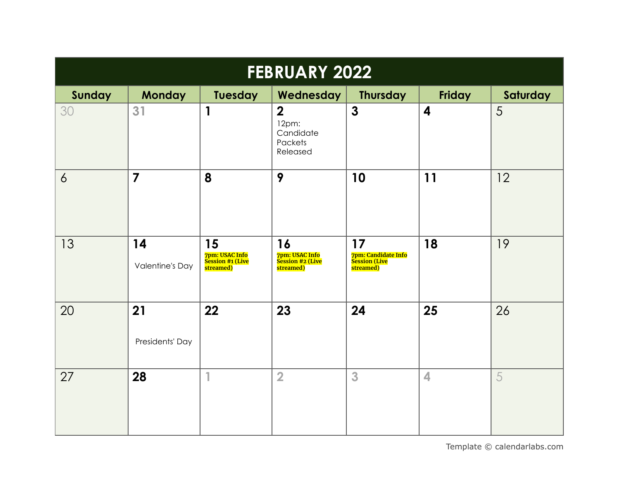| <b>FEBRUARY 2022</b> |                              |                                                       |                                                             |                                                                      |                         |          |  |
|----------------------|------------------------------|-------------------------------------------------------|-------------------------------------------------------------|----------------------------------------------------------------------|-------------------------|----------|--|
| <b>Sunday</b>        | <b>Monday</b>                | Tuesday                                               | Wednesday                                                   | <b>Thursday</b>                                                      | <b>Friday</b>           | Saturday |  |
| 30                   | 31                           | 1                                                     | $\overline{2}$<br>12pm:<br>Candidate<br>Packets<br>Released | $\mathbf{3}$                                                         | $\overline{\mathbf{4}}$ | 5        |  |
| $\delta$             | $\overline{7}$               | 8                                                     | 9                                                           | 10                                                                   | 11                      | 12       |  |
| 13                   | 14<br><b>Valentine's Day</b> | 15<br>7pm: USAC Info<br>Session #1 (Live<br>streamed) | 16<br>7pm: USAC Info<br>Session #2 (Live<br>streamed)       | 17<br><mark>7pm: Candidate Info</mark><br>Session (Live<br>streamed) | 18                      | 19       |  |
| 20                   | 21<br>Presidents' Day        | 22                                                    | 23                                                          | 24                                                                   | 25                      | 26       |  |
| 27                   | 28                           | 1                                                     | $\overline{2}$                                              | 3                                                                    | 4                       | 5        |  |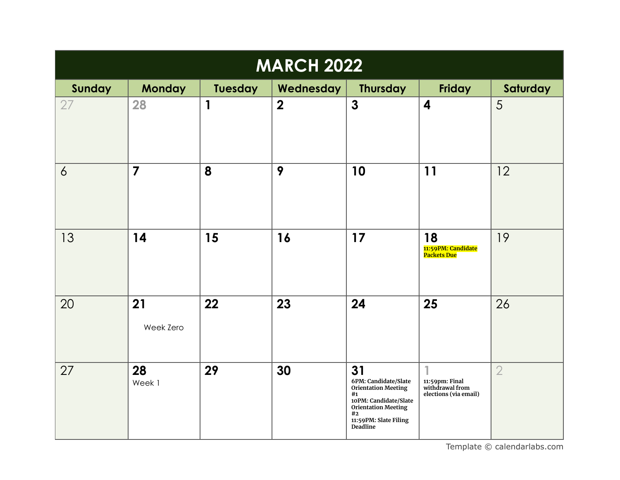| <b>MARCH 2022</b> |                 |                |                |                                                                                                                                                                  |                                                            |                |  |
|-------------------|-----------------|----------------|----------------|------------------------------------------------------------------------------------------------------------------------------------------------------------------|------------------------------------------------------------|----------------|--|
| Sunday            | <b>Monday</b>   | <b>Tuesday</b> | Wednesday      | <b>Thursday</b>                                                                                                                                                  | <b>Friday</b>                                              | Saturday       |  |
| 27                | 28              | 1              | $\overline{2}$ | $\mathbf{3}$                                                                                                                                                     | $\overline{\mathbf{4}}$                                    | 5              |  |
| $\overline{6}$    | $\overline{7}$  | 8              | 9              | 10                                                                                                                                                               | 11                                                         | 12             |  |
| 13                | 14              | 15             | 16             | 17                                                                                                                                                               | 18<br><mark>11:59PM: Candidate</mark><br>Packets Due       | 19             |  |
| 20                | 21<br>Week Zero | 22             | 23             | 24                                                                                                                                                               | 25                                                         | 26             |  |
| 27                | 28<br>Week 1    | 29             | 30             | 31<br>6PM: Candidate/Slate<br><b>Orientation Meeting</b><br>#1<br>10PM: Candidate/Slate<br><b>Orientation Meeting</b><br>#2<br>11:59PM: Slate Filing<br>Deadline | 11:59pm: Final<br>withdrawal from<br>elections (via email) | $\overline{2}$ |  |

[Template](https://www.calendarlabs.com/2019-calendar-templates) © calendarlabs.com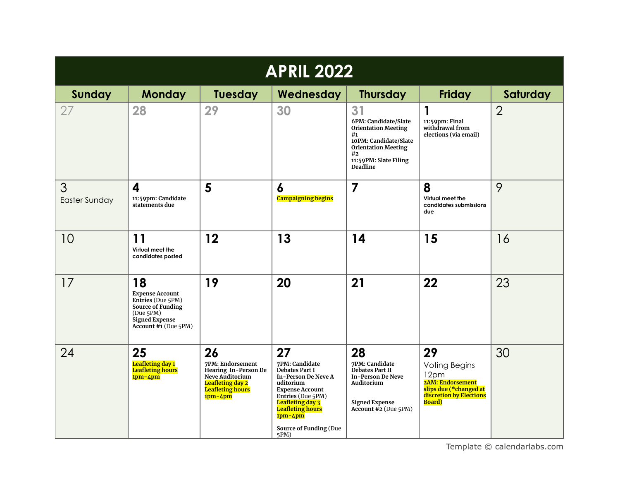| <b>APRIL 2022</b>         |                                                                                                                                             |                                                                                                                                      |                                                                                                                                                                                                                                                     |                                                                                                                                                                  |                                                                                                                                      |                |  |
|---------------------------|---------------------------------------------------------------------------------------------------------------------------------------------|--------------------------------------------------------------------------------------------------------------------------------------|-----------------------------------------------------------------------------------------------------------------------------------------------------------------------------------------------------------------------------------------------------|------------------------------------------------------------------------------------------------------------------------------------------------------------------|--------------------------------------------------------------------------------------------------------------------------------------|----------------|--|
| Sunday                    | <b>Monday</b>                                                                                                                               | <b>Tuesday</b>                                                                                                                       | Wednesday                                                                                                                                                                                                                                           | <b>Thursday</b>                                                                                                                                                  | <b>Friday</b>                                                                                                                        | Saturday       |  |
| 27                        | 28                                                                                                                                          | 29                                                                                                                                   | 30                                                                                                                                                                                                                                                  | 31<br>6PM: Candidate/Slate<br><b>Orientation Meeting</b><br>#1<br>10PM: Candidate/Slate<br><b>Orientation Meeting</b><br>#2<br>11:59PM: Slate Filing<br>Deadline | $\mathbf 1$<br>11:59pm: Final<br>withdrawal from<br>elections (via email)                                                            | $\overline{2}$ |  |
| 3<br><b>Easter Sunday</b> | $\overline{\mathbf{4}}$<br>11:59pm: Candidate<br>statements due                                                                             | 5                                                                                                                                    | $\boldsymbol{6}$<br><b>Campaigning begins</b>                                                                                                                                                                                                       | $\overline{\mathbf{z}}$                                                                                                                                          | 8<br>Virtual meet the<br>candidates submissions<br>due                                                                               | 9              |  |
| 10                        | 11<br>Virtual meet the<br>candidates posted                                                                                                 | 12                                                                                                                                   | 13                                                                                                                                                                                                                                                  | 14                                                                                                                                                               | 15                                                                                                                                   | 16             |  |
| 17                        | 18<br><b>Expense Account</b><br>Entries (Due 5PM)<br>Source of Funding<br>(Due 5PM)<br><b>Signed Expense</b><br><b>Account #1 (Due 5PM)</b> | 19                                                                                                                                   | 20                                                                                                                                                                                                                                                  | 21                                                                                                                                                               | 22                                                                                                                                   | 23             |  |
| 24                        | 25<br>Leafleting day 1<br><b>Leafleting hours</b><br>$1pm-4pm$                                                                              | 26<br>7PM: Endorsement<br>Hearing In-Person De<br>Neve Auditorium<br><b>Leafleting day 2</b><br><b>Leafleting hours</b><br>$1pm-4pm$ | 27<br>7PM: Candidate<br><b>Debates Part I</b><br><b>In-Person De Neve A</b><br>uditorium<br><b>Expense Account</b><br>Entries (Due 5PM)<br><b>Leafleting day 3</b><br><b>Leafleting hours</b><br>$1pm-4pm$<br><b>Source of Funding (Due</b><br>5PM) | 28<br>7PM: Candidate<br><b>Debates Part II</b><br><b>In-Person De Neve</b><br>Auditorium<br><b>Signed Expense</b><br>Account #2 (Due 5PM)                        | 29<br><b>Voting Begins</b><br>12pm<br><b>2AM: Endorsement</b><br>slips due (*changed at<br>discretion by Elections<br><b>Board</b> ) | 30             |  |